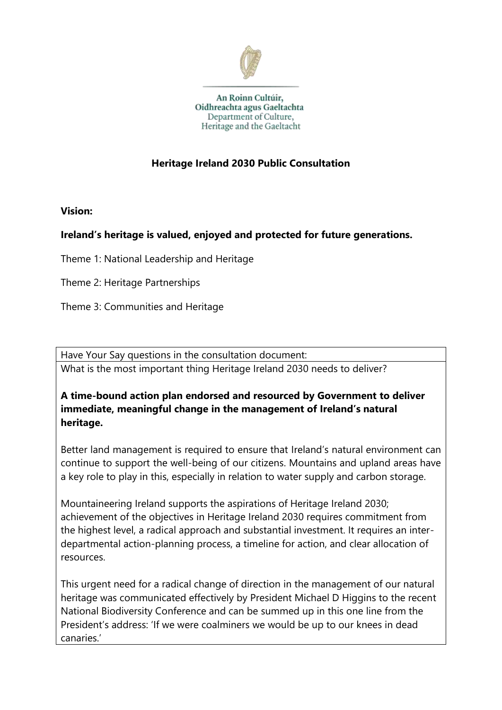

An Roinn Cultúir, Oidhreachta agus Gaeltachta Department of Culture, Heritage and the Gaeltacht

# **Heritage Ireland 2030 Public Consultation**

**Vision:**

# **Ireland's heritage is valued, enjoyed and protected for future generations.**

Theme 1: National Leadership and Heritage

Theme 2: Heritage Partnerships

Theme 3: Communities and Heritage

Have Your Say questions in the consultation document: What is the most important thing Heritage Ireland 2030 needs to deliver?

#### **A time-bound action plan endorsed and resourced by Government to deliver immediate, meaningful change in the management of Ireland's natural heritage.**

Better land management is required to ensure that Ireland's natural environment can continue to support the well-being of our citizens. Mountains and upland areas have a key role to play in this, especially in relation to water supply and carbon storage.

Mountaineering Ireland supports the aspirations of Heritage Ireland 2030; achievement of the objectives in Heritage Ireland 2030 requires commitment from the highest level, a radical approach and substantial investment. It requires an interdepartmental action-planning process, a timeline for action, and clear allocation of resources.

This urgent need for a radical change of direction in the management of our natural heritage was communicated effectively by President Michael D Higgins to the recent National Biodiversity Conference and can be summed up in this one line from the President's address: 'If we were coalminers we would be up to our knees in dead canaries.'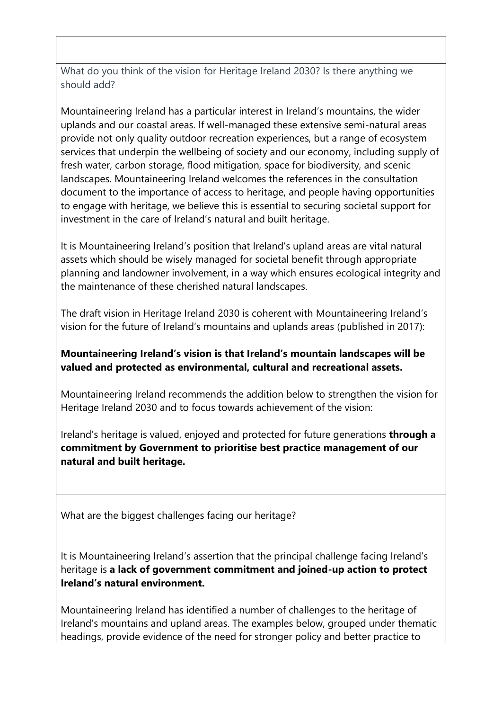What do you think of the vision for Heritage Ireland 2030? Is there anything we should add?

Mountaineering Ireland has a particular interest in Ireland's mountains, the wider uplands and our coastal areas. If well-managed these extensive semi-natural areas provide not only quality outdoor recreation experiences, but a range of ecosystem services that underpin the wellbeing of society and our economy, including supply of fresh water, carbon storage, flood mitigation, space for biodiversity, and scenic landscapes. Mountaineering Ireland welcomes the references in the consultation document to the importance of access to heritage, and people having opportunities to engage with heritage, we believe this is essential to securing societal support for investment in the care of Ireland's natural and built heritage.

It is Mountaineering Ireland's position that Ireland's upland areas are vital natural assets which should be wisely managed for societal benefit through appropriate planning and landowner involvement, in a way which ensures ecological integrity and the maintenance of these cherished natural landscapes.

The draft vision in Heritage Ireland 2030 is coherent with Mountaineering Ireland's vision for the future of Ireland's mountains and uplands areas (published in 2017):

# **Mountaineering Ireland's vision is that Ireland's mountain landscapes will be valued and protected as environmental, cultural and recreational assets.**

Mountaineering Ireland recommends the addition below to strengthen the vision for Heritage Ireland 2030 and to focus towards achievement of the vision:

Ireland's heritage is valued, enjoyed and protected for future generations **through a commitment by Government to prioritise best practice management of our natural and built heritage.**

What are the biggest challenges facing our heritage?

It is Mountaineering Ireland's assertion that the principal challenge facing Ireland's heritage is **a lack of government commitment and joined-up action to protect Ireland's natural environment.** 

Mountaineering Ireland has identified a number of challenges to the heritage of Ireland's mountains and upland areas. The examples below, grouped under thematic headings, provide evidence of the need for stronger policy and better practice to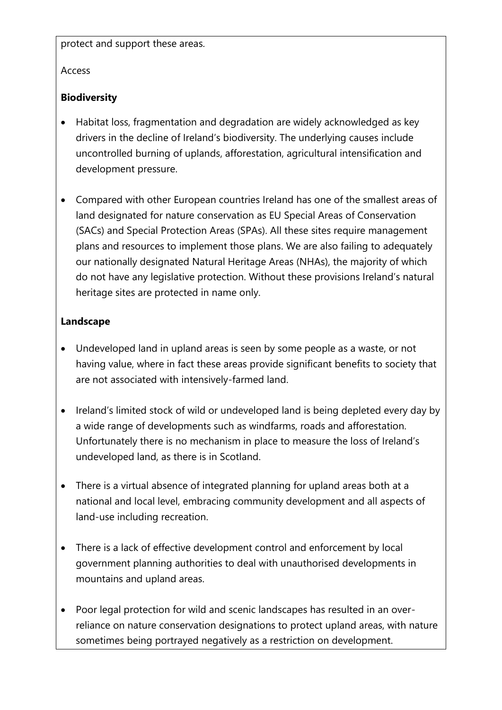protect and support these areas.

#### Access

### **Biodiversity**

- Habitat loss, fragmentation and degradation are widely acknowledged as key drivers in the decline of Ireland's biodiversity. The underlying causes include uncontrolled burning of uplands, afforestation, agricultural intensification and development pressure.
- Compared with other European countries Ireland has one of the smallest areas of land designated for nature conservation as EU Special Areas of Conservation (SACs) and Special Protection Areas (SPAs). All these sites require management plans and resources to implement those plans. We are also failing to adequately our nationally designated Natural Heritage Areas (NHAs), the majority of which do not have any legislative protection. Without these provisions Ireland's natural heritage sites are protected in name only.

#### **Landscape**

- Undeveloped land in upland areas is seen by some people as a waste, or not having value, where in fact these areas provide significant benefits to society that are not associated with intensively-farmed land.
- Ireland's limited stock of wild or undeveloped land is being depleted every day by a wide range of developments such as windfarms, roads and afforestation. Unfortunately there is no mechanism in place to measure the loss of Ireland's undeveloped land, as there is in Scotland.
- There is a virtual absence of integrated planning for upland areas both at a national and local level, embracing community development and all aspects of land-use including recreation.
- There is a lack of effective development control and enforcement by local government planning authorities to deal with unauthorised developments in mountains and upland areas.
- Poor legal protection for wild and scenic landscapes has resulted in an overreliance on nature conservation designations to protect upland areas, with nature sometimes being portrayed negatively as a restriction on development.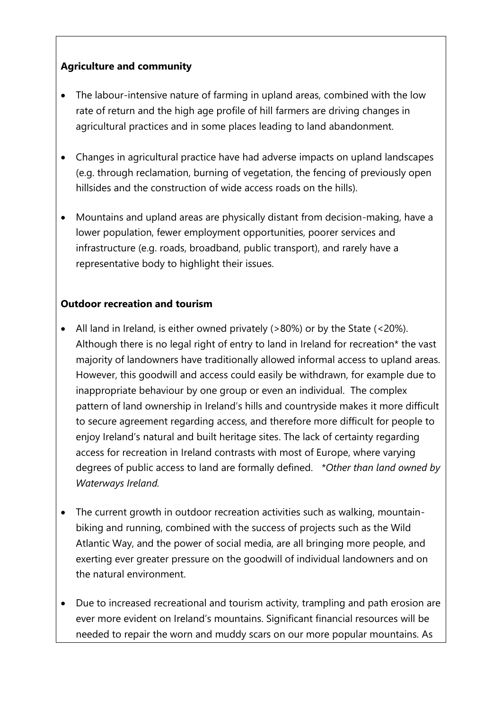# **Agriculture and community**

- The labour-intensive nature of farming in upland areas, combined with the low rate of return and the high age profile of hill farmers are driving changes in agricultural practices and in some places leading to land abandonment.
- Changes in agricultural practice have had adverse impacts on upland landscapes (e.g. through reclamation, burning of vegetation, the fencing of previously open hillsides and the construction of wide access roads on the hills).
- Mountains and upland areas are physically distant from decision-making, have a lower population, fewer employment opportunities, poorer services and infrastructure (e.g. roads, broadband, public transport), and rarely have a representative body to highlight their issues.

# **Outdoor recreation and tourism**

- All land in Ireland, is either owned privately (>80%) or by the State (<20%). Although there is no legal right of entry to land in Ireland for recreation\* the vast majority of landowners have traditionally allowed informal access to upland areas. However, this goodwill and access could easily be withdrawn, for example due to inappropriate behaviour by one group or even an individual. The complex pattern of land ownership in Ireland's hills and countryside makes it more difficult to secure agreement regarding access, and therefore more difficult for people to enjoy Ireland's natural and built heritage sites. The lack of certainty regarding access for recreation in Ireland contrasts with most of Europe, where varying degrees of public access to land are formally defined. *\*Other than land owned by Waterways Ireland.*
- The current growth in outdoor recreation activities such as walking, mountainbiking and running, combined with the success of projects such as the Wild Atlantic Way, and the power of social media, are all bringing more people, and exerting ever greater pressure on the goodwill of individual landowners and on the natural environment.
- Due to increased recreational and tourism activity, trampling and path erosion are ever more evident on Ireland's mountains. Significant financial resources will be needed to repair the worn and muddy scars on our more popular mountains. As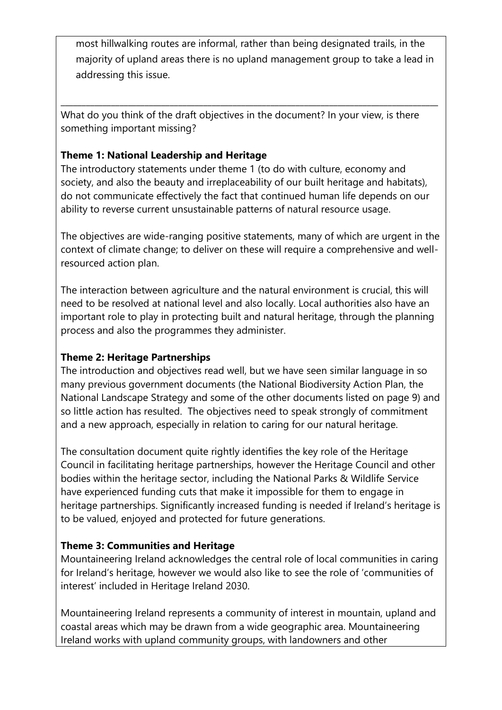most hillwalking routes are informal, rather than being designated trails, in the majority of upland areas there is no upland management group to take a lead in addressing this issue.

What do you think of the draft objectives in the document? In your view, is there something important missing?

\_\_\_\_\_\_\_\_\_\_\_\_\_\_\_\_\_\_\_\_\_\_\_\_\_\_\_\_\_\_\_\_\_\_\_\_\_\_\_\_\_\_\_\_\_\_\_\_\_\_\_\_\_\_\_\_\_\_\_\_\_\_\_\_\_\_\_\_\_\_\_\_\_\_\_\_\_\_\_\_\_\_\_\_\_\_\_\_\_\_

# **Theme 1: National Leadership and Heritage**

The introductory statements under theme 1 (to do with culture, economy and society, and also the beauty and irreplaceability of our built heritage and habitats), do not communicate effectively the fact that continued human life depends on our ability to reverse current unsustainable patterns of natural resource usage.

The objectives are wide-ranging positive statements, many of which are urgent in the context of climate change; to deliver on these will require a comprehensive and wellresourced action plan.

The interaction between agriculture and the natural environment is crucial, this will need to be resolved at national level and also locally. Local authorities also have an important role to play in protecting built and natural heritage, through the planning process and also the programmes they administer.

# **Theme 2: Heritage Partnerships**

The introduction and objectives read well, but we have seen similar language in so many previous government documents (the National Biodiversity Action Plan, the National Landscape Strategy and some of the other documents listed on page 9) and so little action has resulted. The objectives need to speak strongly of commitment and a new approach, especially in relation to caring for our natural heritage.

The consultation document quite rightly identifies the key role of the Heritage Council in facilitating heritage partnerships, however the Heritage Council and other bodies within the heritage sector, including the National Parks & Wildlife Service have experienced funding cuts that make it impossible for them to engage in heritage partnerships. Significantly increased funding is needed if Ireland's heritage is to be valued, enjoyed and protected for future generations.

# **Theme 3: Communities and Heritage**

Mountaineering Ireland acknowledges the central role of local communities in caring for Ireland's heritage, however we would also like to see the role of 'communities of interest' included in Heritage Ireland 2030.

Mountaineering Ireland represents a community of interest in mountain, upland and coastal areas which may be drawn from a wide geographic area. Mountaineering Ireland works with upland community groups, with landowners and other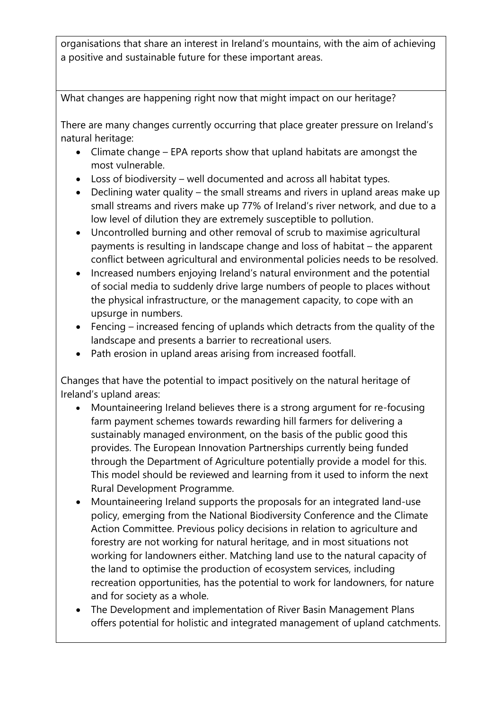organisations that share an interest in Ireland's mountains, with the aim of achieving a positive and sustainable future for these important areas.

What changes are happening right now that might impact on our heritage?

There are many changes currently occurring that place greater pressure on Ireland's natural heritage:

- Climate change EPA reports show that upland habitats are amongst the most vulnerable.
- Loss of biodiversity well documented and across all habitat types.
- Declining water quality the small streams and rivers in upland areas make up small streams and rivers make up 77% of Ireland's river network, and due to a low level of dilution they are extremely susceptible to pollution.
- Uncontrolled burning and other removal of scrub to maximise agricultural payments is resulting in landscape change and loss of habitat – the apparent conflict between agricultural and environmental policies needs to be resolved.
- Increased numbers enjoying Ireland's natural environment and the potential of social media to suddenly drive large numbers of people to places without the physical infrastructure, or the management capacity, to cope with an upsurge in numbers.
- Fencing increased fencing of uplands which detracts from the quality of the landscape and presents a barrier to recreational users.
- Path erosion in upland areas arising from increased footfall.

Changes that have the potential to impact positively on the natural heritage of Ireland's upland areas:

- Mountaineering Ireland believes there is a strong argument for re-focusing farm payment schemes towards rewarding hill farmers for delivering a sustainably managed environment, on the basis of the public good this provides. The European Innovation Partnerships currently being funded through the Department of Agriculture potentially provide a model for this. This model should be reviewed and learning from it used to inform the next Rural Development Programme.
- Mountaineering Ireland supports the proposals for an integrated land-use policy, emerging from the National Biodiversity Conference and the Climate Action Committee. Previous policy decisions in relation to agriculture and forestry are not working for natural heritage, and in most situations not working for landowners either. Matching land use to the natural capacity of the land to optimise the production of ecosystem services, including recreation opportunities, has the potential to work for landowners, for nature and for society as a whole.
- The Development and implementation of River Basin Management Plans offers potential for holistic and integrated management of upland catchments.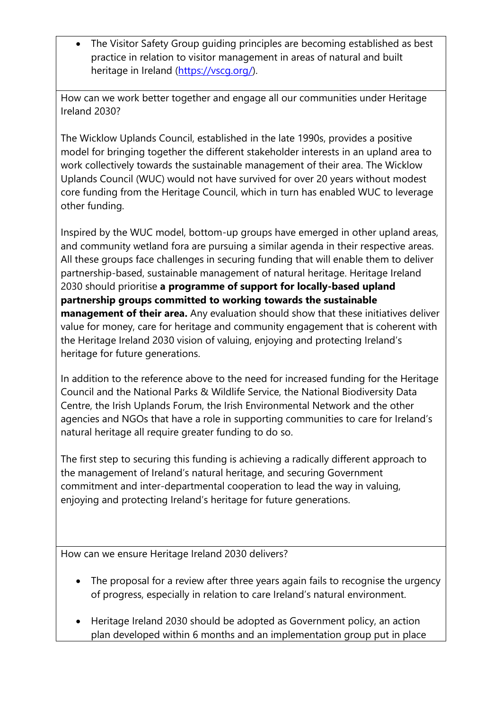• The Visitor Safety Group guiding principles are becoming established as best practice in relation to visitor management in areas of natural and built heritage in Ireland [\(https://vscg.org/\)](https://vscg.org/).

How can we work better together and engage all our communities under Heritage Ireland 2030?

The Wicklow Uplands Council, established in the late 1990s, provides a positive model for bringing together the different stakeholder interests in an upland area to work collectively towards the sustainable management of their area. The Wicklow Uplands Council (WUC) would not have survived for over 20 years without modest core funding from the Heritage Council, which in turn has enabled WUC to leverage other funding.

Inspired by the WUC model, bottom-up groups have emerged in other upland areas, and community wetland fora are pursuing a similar agenda in their respective areas. All these groups face challenges in securing funding that will enable them to deliver partnership-based, sustainable management of natural heritage. Heritage Ireland 2030 should prioritise **a programme of support for locally-based upland partnership groups committed to working towards the sustainable management of their area.** Any evaluation should show that these initiatives deliver value for money, care for heritage and community engagement that is coherent with the Heritage Ireland 2030 vision of valuing, enjoying and protecting Ireland's heritage for future generations.

In addition to the reference above to the need for increased funding for the Heritage Council and the National Parks & Wildlife Service, the National Biodiversity Data Centre, the Irish Uplands Forum, the Irish Environmental Network and the other agencies and NGOs that have a role in supporting communities to care for Ireland's natural heritage all require greater funding to do so.

The first step to securing this funding is achieving a radically different approach to the management of Ireland's natural heritage, and securing Government commitment and inter-departmental cooperation to lead the way in valuing, enjoying and protecting Ireland's heritage for future generations.

How can we ensure Heritage Ireland 2030 delivers?

- The proposal for a review after three years again fails to recognise the urgency of progress, especially in relation to care Ireland's natural environment.
- Heritage Ireland 2030 should be adopted as Government policy, an action plan developed within 6 months and an implementation group put in place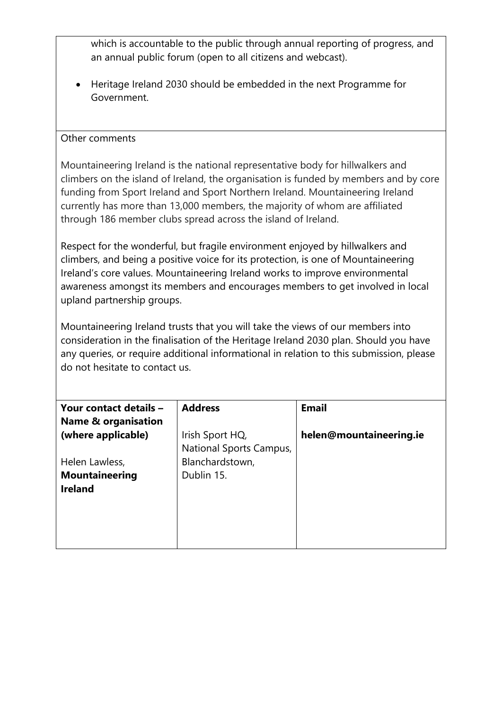| which is accountable to the public through annual reporting of progress, and<br>an annual public forum (open to all citizens and webcast).                                                                                                                                                                                                                                                              |                                                                             |                         |
|---------------------------------------------------------------------------------------------------------------------------------------------------------------------------------------------------------------------------------------------------------------------------------------------------------------------------------------------------------------------------------------------------------|-----------------------------------------------------------------------------|-------------------------|
| Heritage Ireland 2030 should be embedded in the next Programme for<br>Government.                                                                                                                                                                                                                                                                                                                       |                                                                             |                         |
| Other comments                                                                                                                                                                                                                                                                                                                                                                                          |                                                                             |                         |
| Mountaineering Ireland is the national representative body for hillwalkers and<br>climbers on the island of Ireland, the organisation is funded by members and by core<br>funding from Sport Ireland and Sport Northern Ireland. Mountaineering Ireland<br>currently has more than 13,000 members, the majority of whom are affiliated<br>through 186 member clubs spread across the island of Ireland. |                                                                             |                         |
| Respect for the wonderful, but fragile environment enjoyed by hillwalkers and<br>climbers, and being a positive voice for its protection, is one of Mountaineering<br>Ireland's core values. Mountaineering Ireland works to improve environmental<br>awareness amongst its members and encourages members to get involved in local<br>upland partnership groups.                                       |                                                                             |                         |
| Mountaineering Ireland trusts that you will take the views of our members into<br>consideration in the finalisation of the Heritage Ireland 2030 plan. Should you have<br>any queries, or require additional informational in relation to this submission, please<br>do not hesitate to contact us.                                                                                                     |                                                                             |                         |
| Your contact details –                                                                                                                                                                                                                                                                                                                                                                                  | <b>Address</b>                                                              | <b>Email</b>            |
| <b>Name &amp; organisation</b><br>(where applicable)<br>Helen Lawless,<br><b>Mountaineering</b><br><b>Ireland</b>                                                                                                                                                                                                                                                                                       | Irish Sport HQ,<br>National Sports Campus,<br>Blanchardstown,<br>Dublin 15. | helen@mountaineering.ie |
|                                                                                                                                                                                                                                                                                                                                                                                                         |                                                                             |                         |